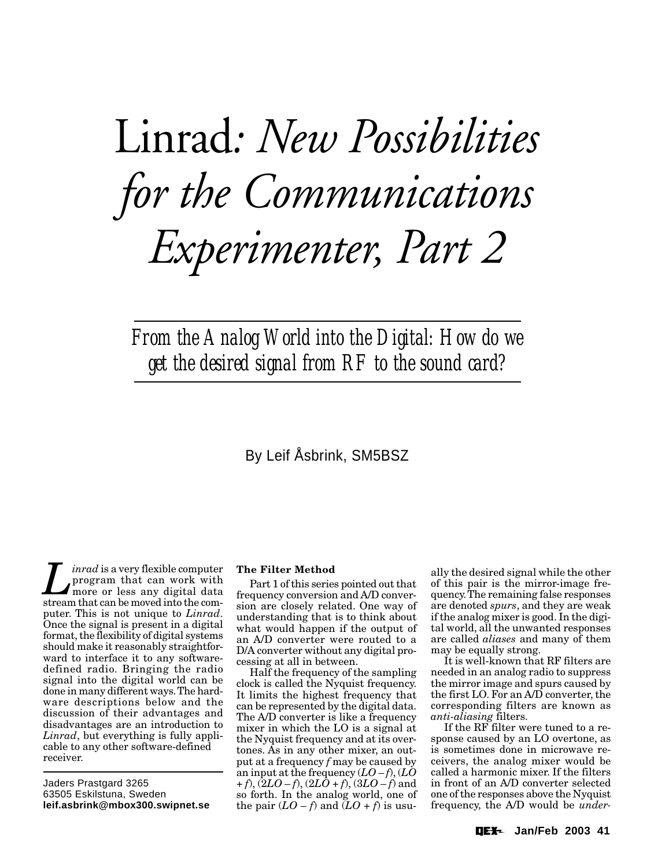# Linrad*: New Possibilities for the Communications Experimenter, Part 2*

*From the Analog World into the Digital: How do we get the desired signal from RF to the sound card?*

# By Leif Åsbrink, SM5BSZ

*Linrad* is a very flexible computer<br>program that can work with<br>more or less any digital data<br>stream that can be moved into the comprogram that can work with more or less any digital data stream that can be moved into the computer. This is not unique to *Linrad*. Once the signal is present in a digital format, the flexibility of digital systems should make it reasonably straightforward to interface it to any softwaredefined radio. Bringing the radio signal into the digital world can be done in many different ways. The hardware descriptions below and the discussion of their advantages and disadvantages are an introduction to *Linrad*, but everything is fully applicable to any other software-defined receiver.

Jaders Prastgard 3265 63505 Eskilstuna, Sweden **leif.asbrink@mbox300.swipnet.se**

#### **The Filter Method**

Part 1 of this series pointed out that frequency conversion and A/D conversion are closely related. One way of understanding that is to think about what would happen if the output of an A/D converter were routed to a D/A converter without any digital processing at all in between.

Half the frequency of the sampling clock is called the Nyquist frequency. It limits the highest frequency that can be represented by the digital data. The A/D converter is like a frequency mixer in which the LO is a signal at the Nyquist frequency and at its overtones. As in any other mixer, an output at a frequency *f* may be caused by an input at the frequency (*LO* – *f*), (*LO*  $+f$ ,  $(2LO - f)$ ,  $(2LO + f)$ ,  $(3LO - f)$  and so forth. In the analog world, one of the pair  $(LO - f)$  and  $(LO + f)$  is usu-

ally the desired signal while the other of this pair is the mirror-image frequency. The remaining false responses are denoted *spurs*, and they are weak if the analog mixer is good. In the digital world, all the unwanted responses are called *aliases* and many of them may be equally strong.

It is well-known that RF filters are needed in an analog radio to suppress the mirror image and spurs caused by the first LO. For an A/D converter, the corresponding filters are known as *anti-aliasing* filters.

If the RF filter were tuned to a response caused by an LO overtone, as is sometimes done in microwave receivers, the analog mixer would be called a harmonic mixer. If the filters in front of an A/D converter selected one of the responses above the Nyquist frequency, the A/D would be *under-*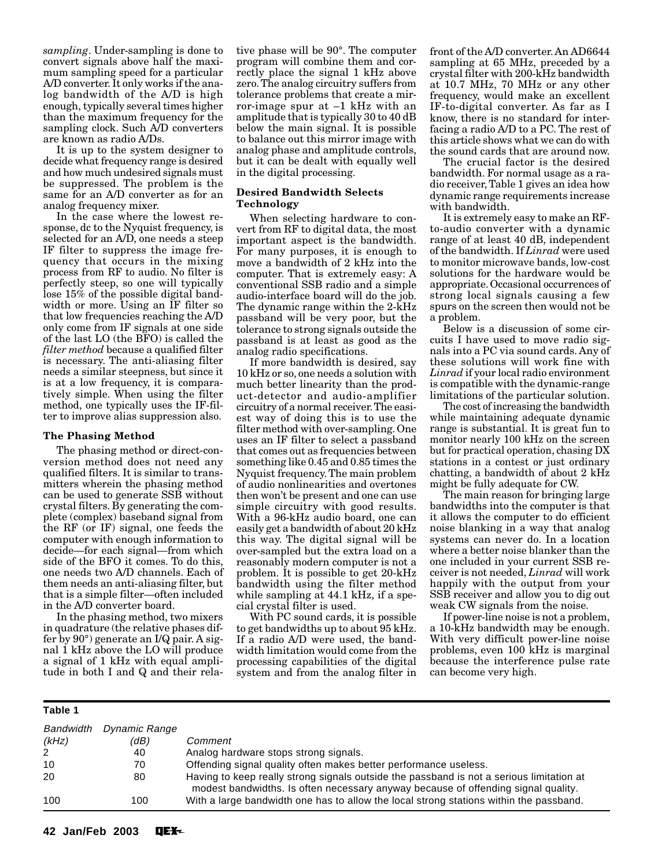*sampling*. Under-sampling is done to convert signals above half the maximum sampling speed for a particular A/D converter. It only works if the analog bandwidth of the A/D is high enough, typically several times higher than the maximum frequency for the sampling clock. Such A/D converters are known as radio A/Ds.

It is up to the system designer to decide what frequency range is desired and how much undesired signals must be suppressed. The problem is the same for an A/D converter as for an analog frequency mixer.

In the case where the lowest response, dc to the Nyquist frequency, is selected for an A/D, one needs a steep IF filter to suppress the image frequency that occurs in the mixing process from RF to audio. No filter is perfectly steep, so one will typically lose 15% of the possible digital bandwidth or more. Using an IF filter so that low frequencies reaching the A/D only come from IF signals at one side of the last LO (the BFO) is called the *filter method* because a qualified filter is necessary. The anti-aliasing filter needs a similar steepness, but since it is at a low frequency, it is comparatively simple. When using the filter method, one typically uses the IF-filter to improve alias suppression also.

#### **The Phasing Method**

The phasing method or direct-conversion method does not need any qualified filters. It is similar to transmitters wherein the phasing method can be used to generate SSB without crystal filters. By generating the complete (complex) baseband signal from the RF (or IF) signal, one feeds the computer with enough information to decide—for each signal—from which side of the BFO it comes. To do this, one needs two A/D channels. Each of them needs an anti-aliasing filter, but that is a simple filter—often included in the A/D converter board.

In the phasing method, two mixers in quadrature (the relative phases differ by 90°) generate an I/Q pair. A signal 1 kHz above the LO will produce a signal of 1 kHz with equal amplitude in both I and Q and their rela-

tive phase will be 90°. The computer program will combine them and correctly place the signal 1 kHz above zero. The analog circuitry suffers from tolerance problems that create a mirror-image spur at –1 kHz with an amplitude that is typically 30 to 40 dB below the main signal. It is possible to balance out this mirror image with analog phase and amplitude controls, but it can be dealt with equally well in the digital processing.

#### **Desired Bandwidth Selects Technology**

When selecting hardware to convert from RF to digital data, the most important aspect is the bandwidth. For many purposes, it is enough to move a bandwidth of 2 kHz into the computer. That is extremely easy: A conventional SSB radio and a simple audio-interface board will do the job. The dynamic range within the 2-kHz passband will be very poor, but the tolerance to strong signals outside the passband is at least as good as the analog radio specifications.

If more bandwidth is desired, say 10 kHz or so, one needs a solution with much better linearity than the product-detector and audio-amplifier circuitry of a normal receiver. The easiest way of doing this is to use the filter method with over-sampling. One uses an IF filter to select a passband that comes out as frequencies between something like 0.45 and 0.85 times the Nyquist frequency. The main problem of audio nonlinearities and overtones then won't be present and one can use simple circuitry with good results. With a 96-kHz audio board, one can easily get a bandwidth of about 20 kHz this way. The digital signal will be over-sampled but the extra load on a reasonably modern computer is not a problem. It is possible to get 20-kHz bandwidth using the filter method while sampling at 44.1 kHz, if a special crystal filter is used.

With PC sound cards, it is possible to get bandwidths up to about 95 kHz. If a radio A/D were used, the bandwidth limitation would come from the processing capabilities of the digital system and from the analog filter in front of the A/D converter. An AD6644 sampling at 65 MHz, preceded by a crystal filter with 200-kHz bandwidth at 10.7 MHz, 70 MHz or any other frequency, would make an excellent IF-to-digital converter. As far as I know, there is no standard for interfacing a radio A/D to a PC. The rest of this article shows what we can do with the sound cards that are around now.

The crucial factor is the desired bandwidth. For normal usage as a radio receiver, Table 1 gives an idea how dynamic range requirements increase with bandwidth.

It is extremely easy to make an RFto-audio converter with a dynamic range of at least 40 dB, independent of the bandwidth. If *Linrad* were used to monitor microwave bands, low-cost solutions for the hardware would be appropriate. Occasional occurrences of strong local signals causing a few spurs on the screen then would not be a problem.

Below is a discussion of some circuits I have used to move radio signals into a PC via sound cards. Any of these solutions will work fine with *Linrad* if your local radio environment is compatible with the dynamic-range limitations of the particular solution.

The cost of increasing the bandwidth while maintaining adequate dynamic range is substantial. It is great fun to monitor nearly 100 kHz on the screen but for practical operation, chasing DX stations in a contest or just ordinary chatting, a bandwidth of about 2 kHz might be fully adequate for CW.

The main reason for bringing large bandwidths into the computer is that it allows the computer to do efficient noise blanking in a way that analog systems can never do. In a location where a better noise blanker than the one included in your current SSB receiver is not needed, *Linrad* will work happily with the output from your SSB receiver and allow you to dig out weak CW signals from the noise.

If power-line noise is not a problem, a 10-kHz bandwidth may be enough. With very difficult power-line noise problems, even 100 kHz is marginal because the interference pulse rate can become very high.

| Bandwidth | Dynamic Range |                                                                                                                                                                               |
|-----------|---------------|-------------------------------------------------------------------------------------------------------------------------------------------------------------------------------|
| (kHz)     | (dB)          | Comment                                                                                                                                                                       |
|           | 40            | Analog hardware stops strong signals.                                                                                                                                         |
| 10        | 70            | Offending signal quality often makes better performance useless.                                                                                                              |
| 20        | 80            | Having to keep really strong signals outside the passband is not a serious limitation at<br>modest bandwidths. Is often necessary anyway because of offending signal quality. |
| 100       | 100           | With a large bandwidth one has to allow the local strong stations within the passband.                                                                                        |
|           |               |                                                                                                                                                                               |

**Table 1**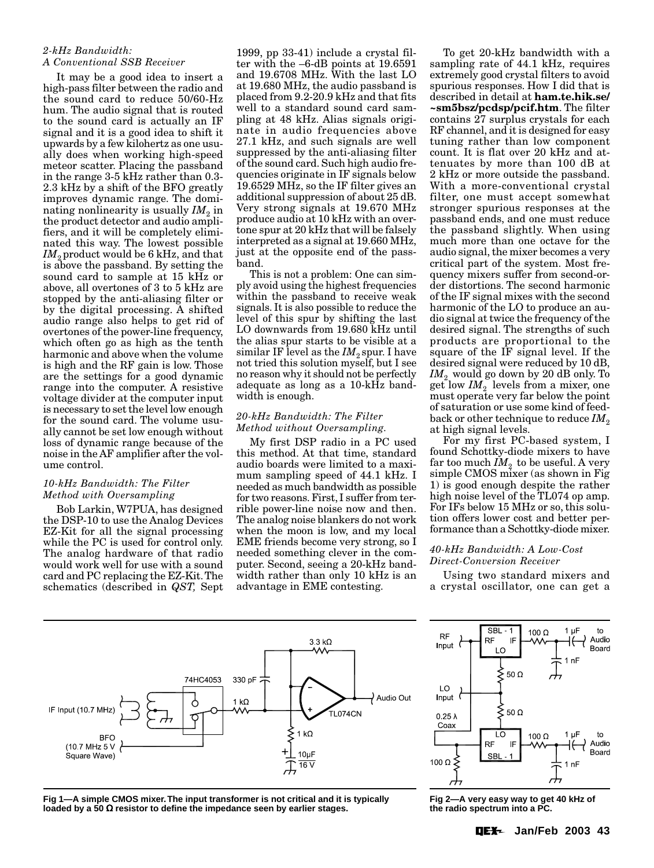## *2-kHz Bandwidth: A Conventional SSB Receiver*

It may be a good idea to insert a high-pass filter between the radio and the sound card to reduce 50/60-Hz hum. The audio signal that is routed to the sound card is actually an IF signal and it is a good idea to shift it upwards by a few kilohertz as one usually does when working high-speed meteor scatter. Placing the passband in the range 3-5 kHz rather than 0.3- 2.3 kHz by a shift of the BFO greatly improves dynamic range. The dominating nonlinearity is usually  $IM<sub>2</sub>$  in the product detector and audio amplifiers, and it will be completely eliminated this way. The lowest possible *IM*<sub>2</sub> product would be 6 kHz, and that is above the passband. By setting the sound card to sample at 15 kHz or above, all overtones of 3 to 5 kHz are stopped by the anti-aliasing filter or by the digital processing. A shifted audio range also helps to get rid of overtones of the power-line frequency, which often go as high as the tenth harmonic and above when the volume is high and the RF gain is low. Those are the settings for a good dynamic range into the computer. A resistive voltage divider at the computer input is necessary to set the level low enough for the sound card. The volume usually cannot be set low enough without loss of dynamic range because of the noise in the AF amplifier after the volume control.

#### *10-kHz Bandwidth: The Filter Method with Oversampling*

Bob Larkin, W7PUA, has designed the DSP-10 to use the Analog Devices EZ-Kit for all the signal processing while the PC is used for control only. The analog hardware of that radio would work well for use with a sound card and PC replacing the EZ-Kit. The schematics (described in *QST,* Sept

1999, pp 33-41) include a crystal filter with the –6-dB points at 19.6591 and 19.6708 MHz. With the last LO at 19.680 MHz, the audio passband is placed from 9.2-20.9 kHz and that fits well to a standard sound card sampling at 48 kHz. Alias signals originate in audio frequencies above 27.1 kHz, and such signals are well suppressed by the anti-aliasing filter of the sound card. Such high audio frequencies originate in IF signals below 19.6529 MHz, so the IF filter gives an additional suppression of about 25 dB. Very strong signals at 19.670 MHz produce audio at 10 kHz with an overtone spur at 20 kHz that will be falsely interpreted as a signal at 19.660 MHz, just at the opposite end of the passband.

This is not a problem: One can simply avoid using the highest frequencies within the passband to receive weak signals. It is also possible to reduce the level of this spur by shifting the last LO downwards from 19.680 kHz until the alias spur starts to be visible at a similar IF level as the  $IM_2$  spur. I have not tried this solution myself, but I see no reason why it should not be perfectly adequate as long as a 10-kHz bandwidth is enough.

### *20-kHz Bandwidth: The Filter Method without Oversampling.*

My first DSP radio in a PC used this method. At that time, standard audio boards were limited to a maximum sampling speed of 44.1 kHz. I needed as much bandwidth as possible for two reasons. First, I suffer from terrible power-line noise now and then. The analog noise blankers do not work when the moon is low, and my local EME friends become very strong, so I needed something clever in the computer. Second, seeing a 20-kHz bandwidth rather than only 10 kHz is an advantage in EME contesting.

To get 20-kHz bandwidth with a sampling rate of 44.1 kHz, requires extremely good crystal filters to avoid spurious responses. How I did that is described in detail at **ham.te.hik.se/ ~sm5bsz/pcdsp/pcif.htm**. The filter contains 27 surplus crystals for each RF channel, and it is designed for easy tuning rather than low component count. It is flat over 20 kHz and attenuates by more than 100 dB at 2 kHz or more outside the passband. With a more-conventional crystal filter, one must accept somewhat stronger spurious responses at the passband ends, and one must reduce the passband slightly. When using much more than one octave for the audio signal, the mixer becomes a very critical part of the system. Most frequency mixers suffer from second-order distortions. The second harmonic of the IF signal mixes with the second harmonic of the LO to produce an audio signal at twice the frequency of the desired signal. The strengths of such products are proportional to the square of the IF signal level. If the desired signal were reduced by 10 dB, *IM*2 would go down by 20 dB only. To get low  $IM<sub>2</sub>$  levels from a mixer, one must operate very far below the point of saturation or use some kind of feedback or other technique to reduce  $IM<sub>2</sub>$ at high signal levels.

For my first PC-based system, I found Schottky-diode mixers to have far too much  $IM<sub>2</sub>$  to be useful. A very simple CMOS mixer (as shown in Fig 1) is good enough despite the rather high noise level of the TL074 op amp. For IFs below 15 MHz or so, this solution offers lower cost and better performance than a Schottky-diode mixer.

### *40-kHz Bandwidth: A Low-Cost Direct-Conversion Receiver*

Using two standard mixers and a crystal oscillator, one can get a



**Fig 1—A simple CMOS mixer. The input transformer is not critical and it is typically loaded by a 50** Ω **resistor to define the impedance seen by earlier stages.**



**Fig 2—A very easy way to get 40 kHz of the radio spectrum into a PC.**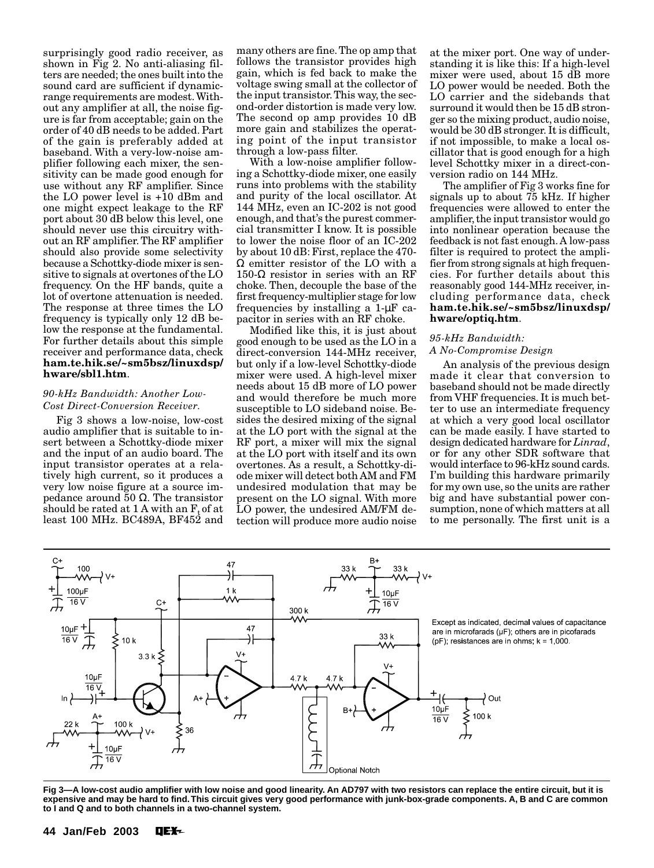surprisingly good radio receiver, as shown in Fig 2. No anti-aliasing filters are needed; the ones built into the sound card are sufficient if dynamicrange requirements are modest. Without any amplifier at all, the noise figure is far from acceptable; gain on the order of 40 dB needs to be added. Part of the gain is preferably added at baseband. With a very-low-noise amplifier following each mixer, the sensitivity can be made good enough for use without any RF amplifier. Since the LO power level is +10 dBm and one might expect leakage to the RF port about 30 dB below this level, one should never use this circuitry without an RF amplifier. The RF amplifier should also provide some selectivity because a Schottky-diode mixer is sensitive to signals at overtones of the LO frequency. On the HF bands, quite a lot of overtone attenuation is needed. The response at three times the LO frequency is typically only 12 dB below the response at the fundamental. For further details about this simple receiver and performance data, check **ham.te.hik.se/~sm5bsz/linuxdsp/ hware/sbl1.htm**.

#### *90-kHz Bandwidth: Another Low-Cost Direct-Conversion Receiver.*

Fig 3 shows a low-noise, low-cost audio amplifier that is suitable to insert between a Schottky-diode mixer and the input of an audio board. The input transistor operates at a relatively high current, so it produces a very low noise figure at a source impedance around 50 Ω. The transistor should be rated at  $1 \text{ A with an } F_t$  of at least 100 MHz. BC489A, BF452 and many others are fine. The op amp that follows the transistor provides high gain, which is fed back to make the voltage swing small at the collector of the input transistor. This way, the second-order distortion is made very low. The second op amp provides 10 dB more gain and stabilizes the operating point of the input transistor through a low-pass filter.

With a low-noise amplifier following a Schottky-diode mixer, one easily runs into problems with the stability and purity of the local oscillator. At 144 MHz, even an IC-202 is not good enough, and that's the purest commercial transmitter I know. It is possible to lower the noise floor of an IC-202 by about 10 dB: First, replace the 470-  $\Omega$  emitter resistor of the LO with a 150-Ω resistor in series with an RF choke. Then, decouple the base of the first frequency-multiplier stage for low frequencies by installing a 1-µF capacitor in series with an RF choke.

Modified like this, it is just about good enough to be used as the LO in a direct-conversion 144-MHz receiver, but only if a low-level Schottky-diode mixer were used. A high-level mixer needs about 15 dB more of LO power and would therefore be much more susceptible to LO sideband noise. Besides the desired mixing of the signal at the LO port with the signal at the RF port, a mixer will mix the signal at the LO port with itself and its own overtones. As a result, a Schottky-diode mixer will detect both AM and FM undesired modulation that may be present on the LO signal. With more LO power, the undesired AM/FM detection will produce more audio noise at the mixer port. One way of understanding it is like this: If a high-level mixer were used, about 15 dB more LO power would be needed. Both the LO carrier and the sidebands that surround it would then be 15 dB stronger so the mixing product, audio noise, would be 30 dB stronger. It is difficult, if not impossible, to make a local oscillator that is good enough for a high level Schottky mixer in a direct-conversion radio on 144 MHz.

The amplifier of Fig 3 works fine for signals up to about 75 kHz. If higher frequencies were allowed to enter the amplifier, the input transistor would go into nonlinear operation because the feedback is not fast enough. A low-pass filter is required to protect the amplifier from strong signals at high frequencies. For further details about this reasonably good 144-MHz receiver, including performance data, check **ham.te.hik.se/~sm5bsz/linuxdsp/ hware/optiq.htm**.

### *95-kHz Bandwidth: A No-Compromise Design*

An analysis of the previous design made it clear that conversion to baseband should not be made directly from VHF frequencies. It is much better to use an intermediate frequency at which a very good local oscillator can be made easily. I have started to design dedicated hardware for *Linrad*, or for any other SDR software that would interface to 96-kHz sound cards. I'm building this hardware primarily for my own use, so the units are rather big and have substantial power consumption, none of which matters at all to me personally. The first unit is a



**Fig 3—A low-cost audio amplifier with low noise and good linearity. An AD797 with two resistors can replace the entire circuit, but it is expensive and may be hard to find. This circuit gives very good performance with junk-box-grade components. A, B and C are common to I and Q and to both channels in a two-channel system.**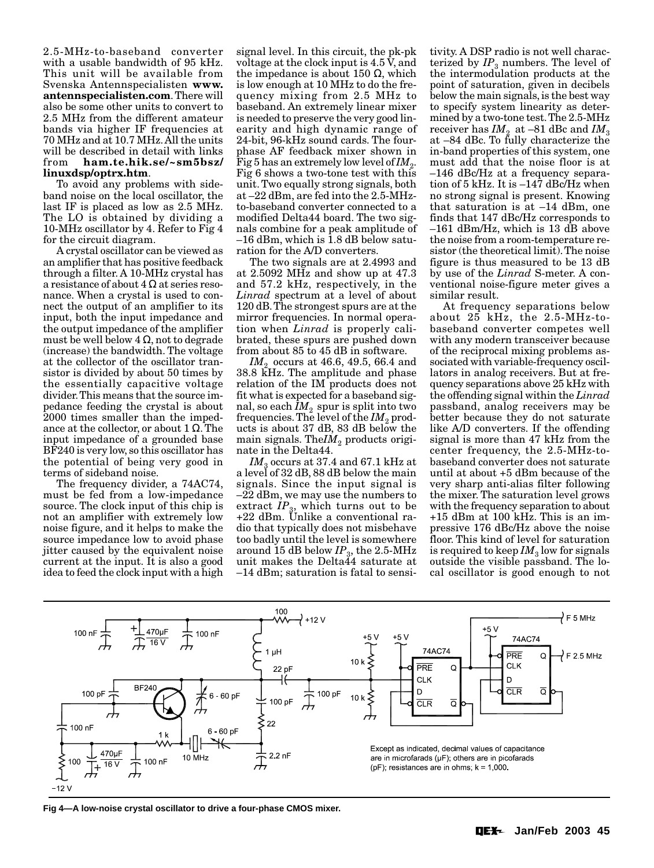2.5-MHz-to-baseband converter with a usable bandwidth of 95 kHz. This unit will be available from Svenska Antennspecialisten **www. antennspecialisten.com**. There will also be some other units to convert to 2.5 MHz from the different amateur bands via higher IF frequencies at 70 MHz and at 10.7 MHz. All the units will be described in detail with links from **ham.te.hik.se/~sm5bsz/ linuxdsp/optrx.htm**.

To avoid any problems with sideband noise on the local oscillator, the last IF is placed as low as 2.5 MHz. The LO is obtained by dividing a 10-MHz oscillator by 4. Refer to Fig 4 for the circuit diagram.

A crystal oscillator can be viewed as an amplifier that has positive feedback through a filter. A 10-MHz crystal has a resistance of about  $4 \Omega$  at series resonance. When a crystal is used to connect the output of an amplifier to its input, both the input impedance and the output impedance of the amplifier must be well below  $4 \Omega$ , not to degrade (increase) the bandwidth. The voltage at the collector of the oscillator transistor is divided by about 50 times by the essentially capacitive voltage divider. This means that the source impedance feeding the crystal is about 2000 times smaller than the impedance at the collector, or about  $1 \Omega$ . The input impedance of a grounded base BF240 is very low, so this oscillator has the potential of being very good in terms of sideband noise.

The frequency divider, a 74AC74, must be fed from a low-impedance source. The clock input of this chip is not an amplifier with extremely low noise figure, and it helps to make the source impedance low to avoid phase jitter caused by the equivalent noise current at the input. It is also a good idea to feed the clock input with a high

signal level. In this circuit, the pk-pk voltage at the clock input is 4.5 V, and the impedance is about 150  $Ω$ , which is low enough at 10 MHz to do the frequency mixing from 2.5 MHz to baseband. An extremely linear mixer is needed to preserve the very good linearity and high dynamic range of 24-bit, 96-kHz sound cards. The fourphase AF feedback mixer shown in Fig 5 has an extremely low level of  $IM_2$ . Fig 6 shows a two-tone test with this unit. Two equally strong signals, both at –22 dBm, are fed into the 2.5-MHzto-baseband converter connected to a modified Delta44 board. The two signals combine for a peak amplitude of –16 dBm, which is 1.8 dB below saturation for the A/D converters.

The two signals are at 2.4993 and at 2.5092 MHz and show up at 47.3 and 57.2 kHz, respectively, in the *Linrad* spectrum at a level of about 120 dB. The strongest spurs are at the mirror frequencies. In normal operation when *Linrad* is properly calibrated, these spurs are pushed down from about 85 to 45 dB in software.

*IM*<sub>2</sub> occurs at 46.6, 49.5, 66.4 and 38.8 kHz. The amplitude and phase relation of the IM products does not fit what is expected for a baseband signal, so each  $\overline{IM}_2$  spur is split into two frequencies. The level of the  $IM<sub>2</sub>$  products is about 37 dB, 83 dB below the main signals. The IM<sub>2</sub> products originate in the Delta44.

 $IM<sub>3</sub>$  occurs at 37.4 and 67.1 kHz at a level of 32 dB, 88 dB below the main signals. Since the input signal is –22 dBm, we may use the numbers to extract *IP*<sub>3</sub>, which turns out to be<br>+22 dBm. Unlike a conventional radio that typically does not misbehave too badly until the level is somewhere around 15 dB below  $IP_3$ , the 2.5-MHz unit makes the Delta44 saturate at –14 dBm; saturation is fatal to sensitivity. A DSP radio is not well characterized by  $IP_3$  numbers. The level of the intermodulation products at the point of saturation, given in decibels below the main signals, is the best way to specify system linearity as determined by a two-tone test. The 2.5-MHz receiver has  $IM_2$  at –81 dBc and  $IM_3$ at –84 dBc. To fully characterize the in-band properties of this system, one must add that the noise floor is at –146 dBc/Hz at a frequency separation of 5 kHz. It is –147 dBc/Hz when no strong signal is present. Knowing that saturation is at –14 dBm, one finds that 147 dBc/Hz corresponds to –161 dBm/Hz, which is 13 dB above the noise from a room-temperature resistor (the theoretical limit). The noise figure is thus measured to be 13 dB by use of the *Linrad* S-meter. A conventional noise-figure meter gives a similar result.

At frequency separations below about 25 kHz, the 2.5-MHz-tobaseband converter competes well with any modern transceiver because of the reciprocal mixing problems associated with variable-frequency oscillators in analog receivers. But at frequency separations above 25 kHz with the offending signal within the *Linrad* passband, analog receivers may be better because they do not saturate like A/D converters. If the offending signal is more than 47 kHz from the center frequency, the 2.5-MHz-tobaseband converter does not saturate until at about +5 dBm because of the very sharp anti-alias filter following the mixer. The saturation level grows with the frequency separation to about +15 dBm at 100 kHz. This is an impressive 176 dBc/Hz above the noise floor. This kind of level for saturation is required to keep  $IM<sub>3</sub>$  low for signals outside the visible passband. The local oscillator is good enough to not



**Fig 4—A low-noise crystal oscillator to drive a four-phase CMOS mixer.**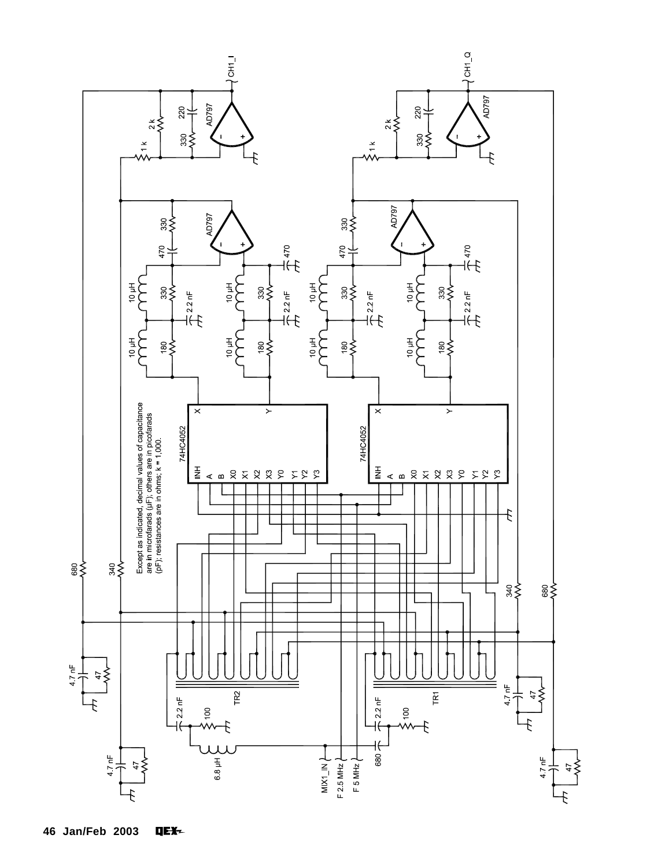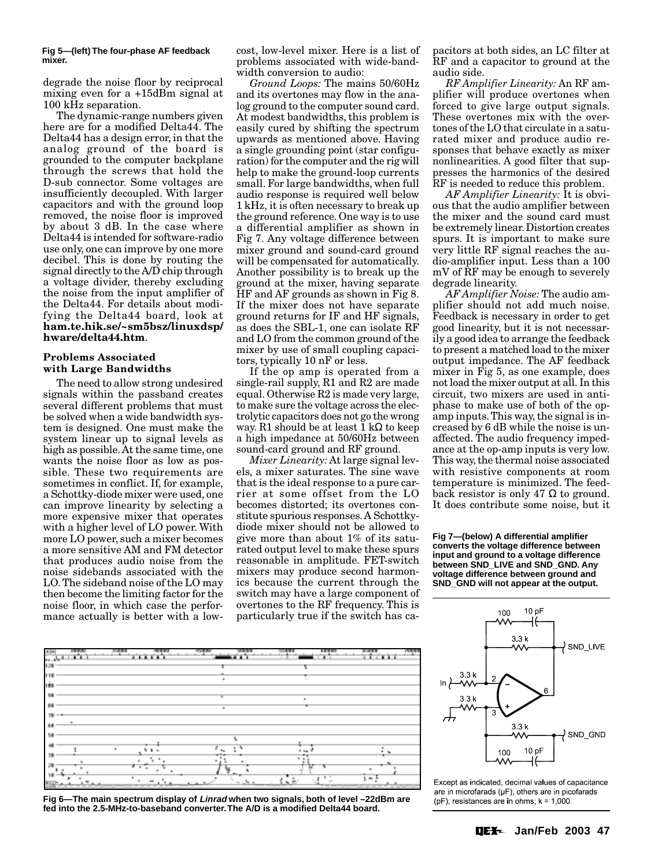#### **Fig 5—(left) The four-phase AF feedback mixer.**

degrade the noise floor by reciprocal mixing even for a +15dBm signal at 100 kHz separation.

The dynamic-range numbers given here are for a modified Delta44. The Delta44 has a design error, in that the analog ground of the board is grounded to the computer backplane through the screws that hold the D-sub connector. Some voltages are insufficiently decoupled. With larger capacitors and with the ground loop removed, the noise floor is improved by about 3 dB. In the case where Delta44 is intended for software-radio use only, one can improve by one more decibel. This is done by routing the signal directly to the A/D chip through a voltage divider, thereby excluding the noise from the input amplifier of the Delta44. For details about modifying the Delta44 board, look at **ham.te.hik.se/~sm5bsz/linuxdsp/ hware/delta44.htm**.

#### **Problems Associated with Large Bandwidths**

The need to allow strong undesired signals within the passband creates several different problems that must be solved when a wide bandwidth system is designed. One must make the system linear up to signal levels as high as possible. At the same time, one wants the noise floor as low as possible. These two requirements are sometimes in conflict. If, for example, a Schottky-diode mixer were used, one can improve linearity by selecting a more expensive mixer that operates with a higher level of LO power. With more LO power, such a mixer becomes a more sensitive AM and FM detector that produces audio noise from the noise sidebands associated with the LO. The sideband noise of the LO may then become the limiting factor for the noise floor, in which case the performance actually is better with a low-

cost, low-level mixer. Here is a list of problems associated with wide-bandwidth conversion to audio:

*Ground Loops:* The mains 50/60Hz and its overtones may flow in the analog ground to the computer sound card. At modest bandwidths, this problem is easily cured by shifting the spectrum upwards as mentioned above. Having a single grounding point (star configuration) for the computer and the rig will help to make the ground-loop currents small. For large bandwidths, when full audio response is required well below 1 kHz, it is often necessary to break up the ground reference. One way is to use a differential amplifier as shown in Fig 7. Any voltage difference between mixer ground and sound-card ground will be compensated for automatically. Another possibility is to break up the ground at the mixer, having separate HF and AF grounds as shown in Fig 8. If the mixer does not have separate ground returns for IF and HF signals, as does the SBL-1, one can isolate RF and LO from the common ground of the mixer by use of small coupling capacitors, typically 10 nF or less.

If the op amp is operated from a single-rail supply, R1 and R2 are made equal. Otherwise R2 is made very large, to make sure the voltage across the electrolytic capacitors does not go the wrong way. R1 should be at least 1 kΩ to keep a high impedance at 50/60Hz between sound-card ground and RF ground.

*Mixer Linearity:* At large signal levels, a mixer saturates. The sine wave that is the ideal response to a pure carrier at some offset from the LO becomes distorted; its overtones constitute spurious responses. A Schottkydiode mixer should not be allowed to give more than about 1% of its saturated output level to make these spurs reasonable in amplitude. FET-switch mixers may produce second harmonics because the current through the switch may have a large component of overtones to the RF frequency. This is particularly true if the switch has capacitors at both sides, an LC filter at RF and a capacitor to ground at the audio side.

*RF Amplifier Linearity:* An RF amplifier will produce overtones when forced to give large output signals. These overtones mix with the overtones of the LO that circulate in a saturated mixer and produce audio responses that behave exactly as mixer nonlinearities. A good filter that suppresses the harmonics of the desired RF is needed to reduce this problem.

*AF Amplifier Linearity:* It is obvious that the audio amplifier between the mixer and the sound card must be extremely linear. Distortion creates spurs. It is important to make sure very little RF signal reaches the audio-amplifier input. Less than a 100 mV of RF may be enough to severely degrade linearity.

*AF Amplifier Noise:* The audio amplifier should not add much noise. Feedback is necessary in order to get good linearity, but it is not necessarily a good idea to arrange the feedback to present a matched load to the mixer output impedance. The AF feedback mixer in Fig 5, as one example, does not load the mixer output at all. In this circuit, two mixers are used in antiphase to make use of both of the opamp inputs. This way, the signal is increased by 6 dB while the noise is unaffected. The audio frequency impedance at the op-amp inputs is very low. This way, the thermal noise associated with resistive components at room temperature is minimized. The feedback resistor is only 47  $\Omega$  to ground. It does contribute some noise, but it

**Fig 7—(below) A differential amplifier converts the voltage difference between input and ground to a voltage difference between SND\_LIVE and SND\_GND. Any voltage difference between ground and SND\_GND will not appear at the output.**



**Fig 6—The main spectrum display of Linrad when two signals, both of level –22dBm are fed into the 2.5-MHz-to-baseband converter. The A/D is a modified Delta44 board.**



Except as indicated, decimal values of capacitance are in microfarads (µF), others are in picofarads (pF), resistances are in ohms,  $k = 1,000$ .